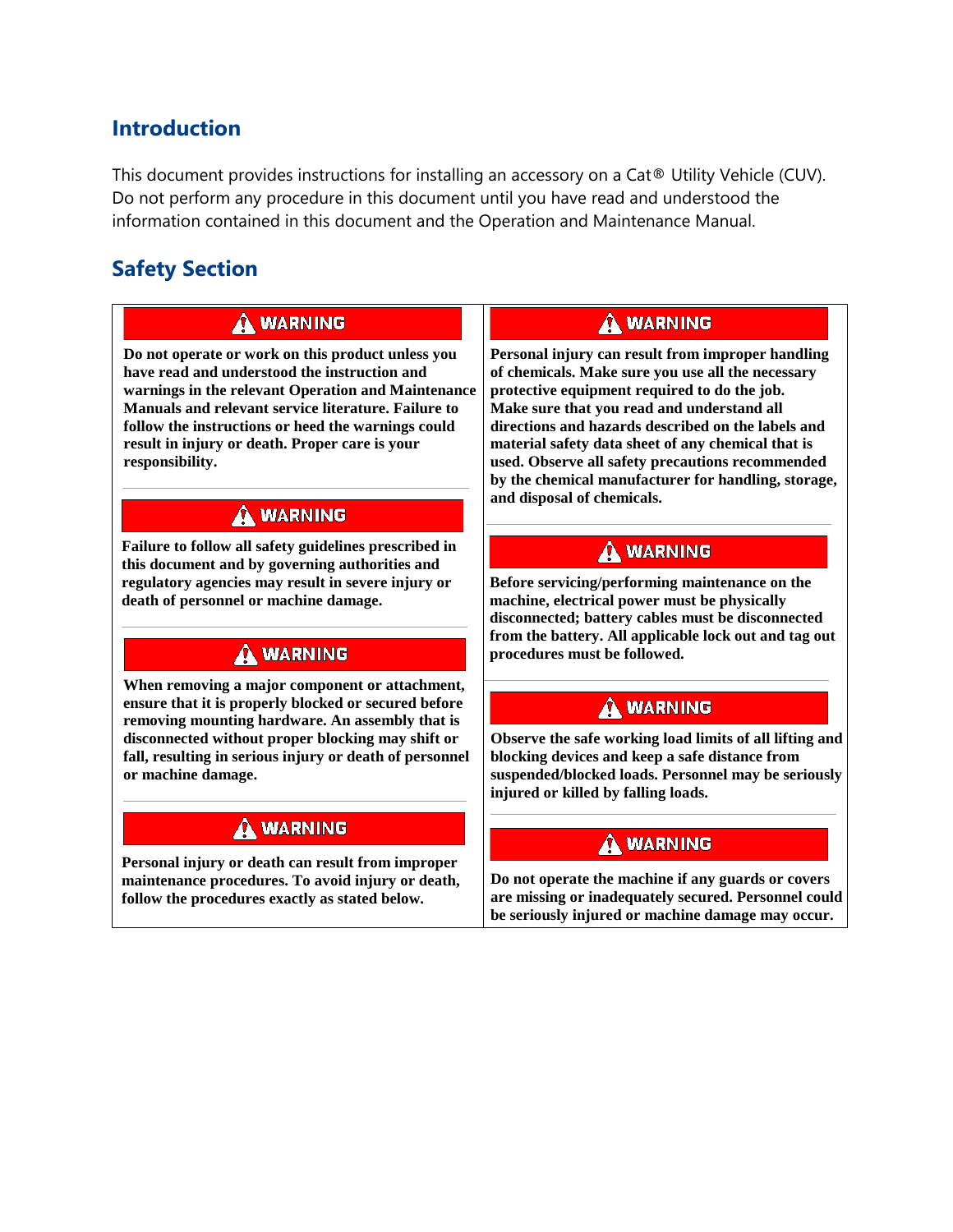# **Introduction**

This document provides instructions for installing an accessory on a Cat® Utility Vehicle (CUV). Do not perform any procedure in this document until you have read and understood the information contained in this document and the Operation and Maintenance Manual.

# **Safety Section**

### A WARNING

**Do not operate or work on this product unless you have read and understood the instruction and warnings in the relevant Operation and Maintenance Manuals and relevant service literature. Failure to follow the instructions or heed the warnings could result in injury or death. Proper care is your responsibility.**

## A WARNING

**Failure to follow all safety guidelines prescribed in this document and by governing authorities and regulatory agencies may result in severe injury or death of personnel or machine damage.**

## A WARNING

**When removing a major component or attachment, ensure that it is properly blocked or secured before removing mounting hardware. An assembly that is disconnected without proper blocking may shift or fall, resulting in serious injury or death of personnel or machine damage.**

### A WARNING

**Personal injury or death can result from improper maintenance procedures. To avoid injury or death, follow the procedures exactly as stated below.**

### A WARNING

**Personal injury can result from improper handling of chemicals. Make sure you use all the necessary protective equipment required to do the job. Make sure that you read and understand all directions and hazards described on the labels and material safety data sheet of any chemical that is used. Observe all safety precautions recommended by the chemical manufacturer for handling, storage, and disposal of chemicals.**

## A WARNING

**Before servicing/performing maintenance on the machine, electrical power must be physically disconnected; battery cables must be disconnected from the battery. All applicable lock out and tag out procedures must be followed.**

## A WARNING

**Observe the safe working load limits of all lifting and blocking devices and keep a safe distance from suspended/blocked loads. Personnel may be seriously injured or killed by falling loads.**

# A WARNING

**Do not operate the machine if any guards or covers are missing or inadequately secured. Personnel could be seriously injured or machine damage may occur.**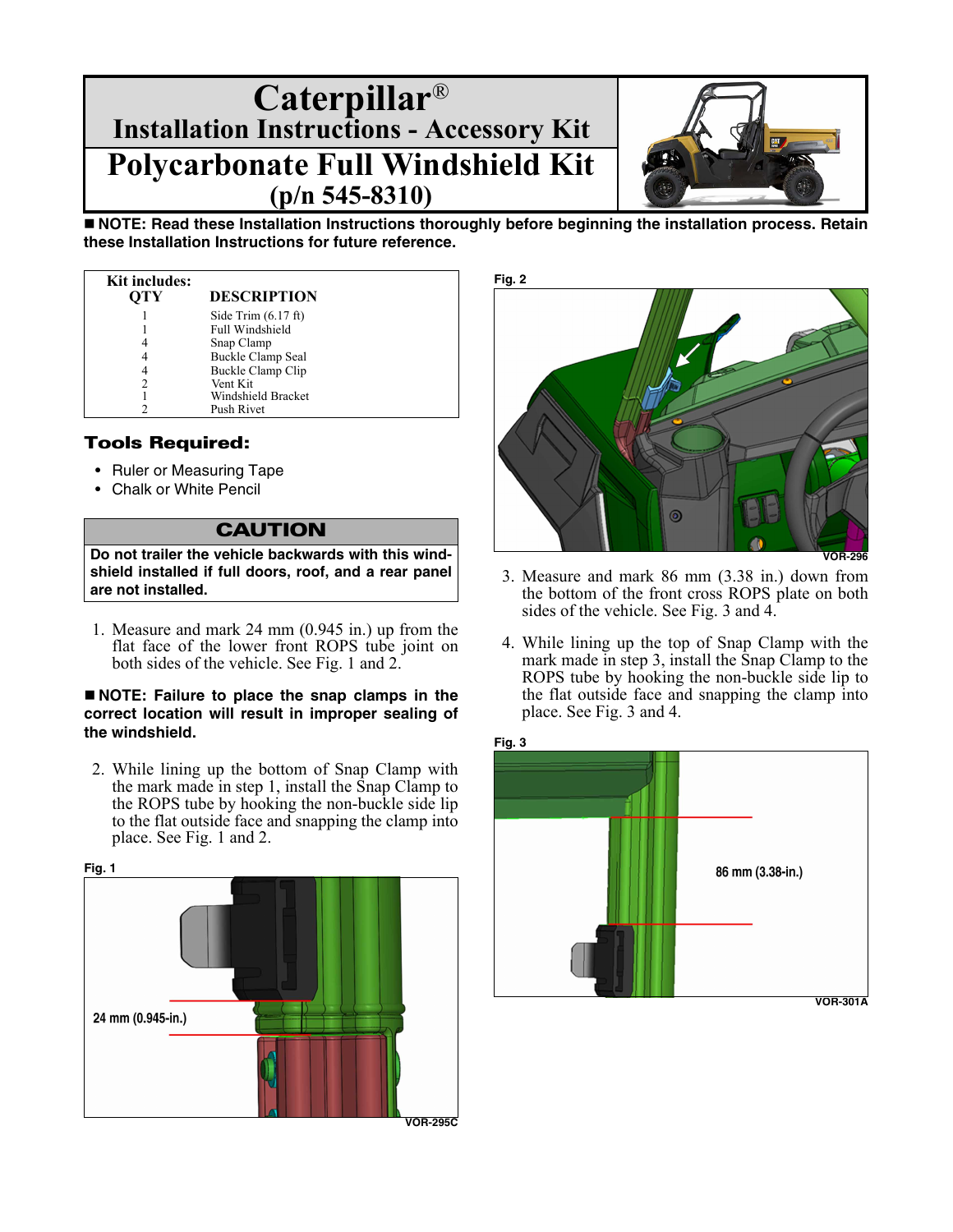

**NOTE: Read these Installation Instructions thoroughly before beginning the installation process. Retain these Installation Instructions for future reference.**

| <b>Kit includes:</b><br>OTY | <b>DESCRIPTION</b>            |
|-----------------------------|-------------------------------|
|                             | Side Trim $(6.17 \text{ ft})$ |
|                             | Full Windshield               |
|                             | Snap Clamp                    |
|                             | Buckle Clamp Seal             |
| 4                           | Buckle Clamp Clip             |
|                             | Vent Kit                      |
|                             | Windshield Bracket            |
|                             | Push Rivet                    |

#### Tools Required:

- Ruler or Measuring Tape
- Chalk or White Pencil

#### **CAUTION**

**Do not trailer the vehicle backwards with this windshield installed if full doors, roof, and a rear panel are not installed.**

1. Measure and mark 24 mm (0.945 in.) up from the flat face of the lower front ROPS tube joint on both sides of the vehicle. See Fig. 1 and 2.

#### **NOTE: Failure to place the snap clamps in the correct location will result in improper sealing of the windshield.**

2. While lining up the bottom of Snap Clamp with the mark made in step 1, install the Snap Clamp to the ROPS tube by hooking the non-buckle side lip to the flat outside face and snapping the clamp into place. See Fig. 1 and 2.





- 3. Measure and mark 86 mm (3.38 in.) down from the bottom of the front cross ROPS plate on both sides of the vehicle. See Fig. 3 and 4.
- 4. While lining up the top of Snap Clamp with the mark made in step 3, install the Snap Clamp to the ROPS tube by hooking the non-buckle side lip to the flat outside face and snapping the clamp into place. See Fig. 3 and 4.